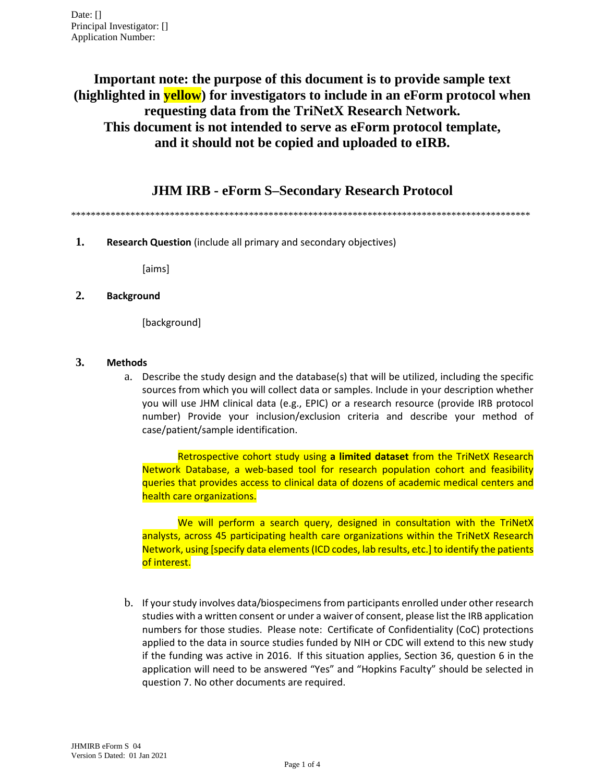**Important note: the purpose of this document is to provide sample text (highlighted in yellow) for investigators to include in an eForm protocol when requesting data from the TriNetX Research Network. This document is not intended to serve as eForm protocol template, and it should not be copied and uploaded to eIRB.**

**JHM IRB - eForm S–Secondary Research Protocol**

\*\*\*\*\*\*\*\*\*\*\*\*\*\*\*\*\*\*\*\*\*\*\*\*\*\*\*\*\*\*\*\*\*\*\*\*\*\*\*\*\*\*\*\*\*\*\*\*\*\*\*\*\*\*\*\*\*\*\*\*\*\*\*\*\*\*\*\*\*\*\*\*\*\*\*\*\*\*\*\*\*\*\*\*\*\*\*\*\*\*\*\*\*

**1. Research Question** (include all primary and secondary objectives)

[aims]

## **2. Background**

[background]

## **3. Methods**

a. Describe the study design and the database(s) that will be utilized, including the specific sources from which you will collect data or samples. Include in your description whether you will use JHM clinical data (e.g., EPIC) or a research resource (provide IRB protocol number) Provide your inclusion/exclusion criteria and describe your method of case/patient/sample identification.

Retrospective cohort study using **a limited dataset** from the TriNetX Research Network Database, a web-based tool for research population cohort and feasibility queries that provides access to clinical data of dozens of academic medical centers and health care organizations.

We will perform a search query, designed in consultation with the TriNetX analysts, across 45 participating health care organizations within the TriNetX Research Network, using [specify data elements (ICD codes, lab results, etc.] to identify the patients of interest.

b. If your study involves data/biospecimens from participants enrolled under other research studies with a written consent or under a waiver of consent, please list the IRB application numbers for those studies. Please note: Certificate of Confidentiality (CoC) protections applied to the data in source studies funded by NIH or CDC will extend to this new study if the funding was active in 2016. If this situation applies, Section 36, question 6 in the application will need to be answered "Yes" and "Hopkins Faculty" should be selected in question 7. No other documents are required.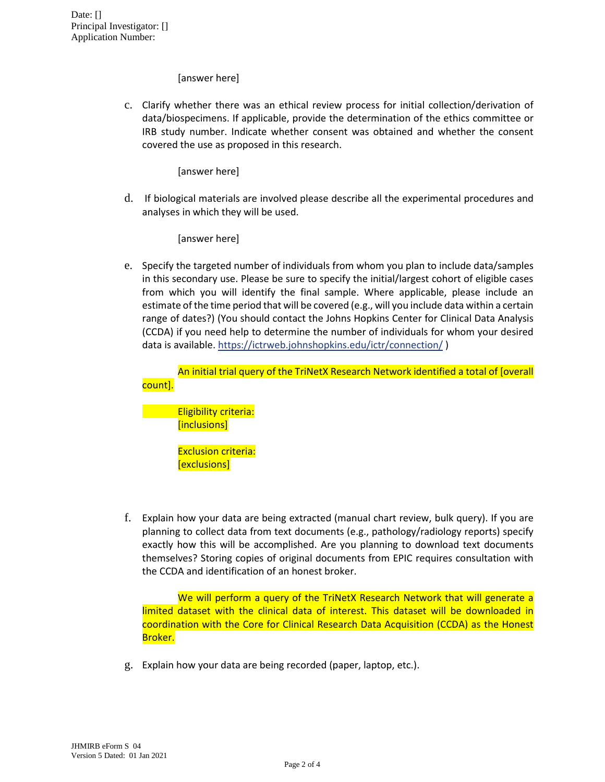[answer here]

c. Clarify whether there was an ethical review process for initial collection/derivation of data/biospecimens. If applicable, provide the determination of the ethics committee or IRB study number. Indicate whether consent was obtained and whether the consent covered the use as proposed in this research.

[answer here]

d. If biological materials are involved please describe all the experimental procedures and analyses in which they will be used.

[answer here]

e. Specify the targeted number of individuals from whom you plan to include data/samples in this secondary use. Please be sure to specify the initial/largest cohort of eligible cases from which you will identify the final sample. Where applicable, please include an estimate of the time period that will be covered (e.g., will you include data within a certain range of dates?) (You should contact the Johns Hopkins Center for Clinical Data Analysis (CCDA) if you need help to determine the number of individuals for whom your desired data is available. <https://ictrweb.johnshopkins.edu/ictr/connection/> )

An initial trial query of the TriNetX Research Network identified a total of [overall count].

Eligibility criteria: [inclusions]

> Exclusion criteria: [exclusions]

f. Explain how your data are being extracted (manual chart review, bulk query). If you are planning to collect data from text documents (e.g., pathology/radiology reports) specify exactly how this will be accomplished. Are you planning to download text documents themselves? Storing copies of original documents from EPIC requires consultation with the CCDA and identification of an honest broker.

We will perform a query of the TriNetX Research Network that will generate a limited dataset with the clinical data of interest. This dataset will be downloaded in coordination with the Core for Clinical Research Data Acquisition (CCDA) as the Honest Broker.

g. Explain how your data are being recorded (paper, laptop, etc.).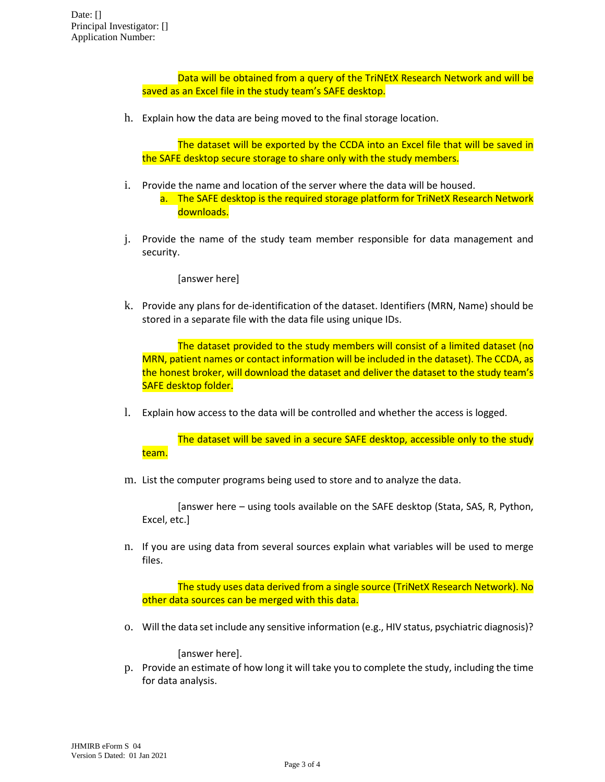Data will be obtained from a query of the TriNEtX Research Network and will be saved as an Excel file in the study team's SAFE desktop.

h. Explain how the data are being moved to the final storage location.

The dataset will be exported by the CCDA into an Excel file that will be saved in the SAFE desktop secure storage to share only with the study members.

- i. Provide the name and location of the server where the data will be housed. a. The SAFE desktop is the required storage platform for TriNetX Research Network downloads.
- j. Provide the name of the study team member responsible for data management and security.

[answer here]

k. Provide any plans for de-identification of the dataset. Identifiers (MRN, Name) should be stored in a separate file with the data file using unique IDs.

The dataset provided to the study members will consist of a limited dataset (no MRN, patient names or contact information will be included in the dataset). The CCDA, as the honest broker, will download the dataset and deliver the dataset to the study team's SAFE desktop folder.

l. Explain how access to the data will be controlled and whether the access is logged.

The dataset will be saved in a secure SAFE desktop, accessible only to the study team.

m. List the computer programs being used to store and to analyze the data.

[answer here – using tools available on the SAFE desktop (Stata, SAS, R, Python, Excel, etc.]

n. If you are using data from several sources explain what variables will be used to merge files.

The study uses data derived from a single source (TriNetX Research Network). No other data sources can be merged with this data.

o. Will the data set include any sensitive information (e.g., HIV status, psychiatric diagnosis)?

[answer here].

p. Provide an estimate of how long it will take you to complete the study, including the time for data analysis.